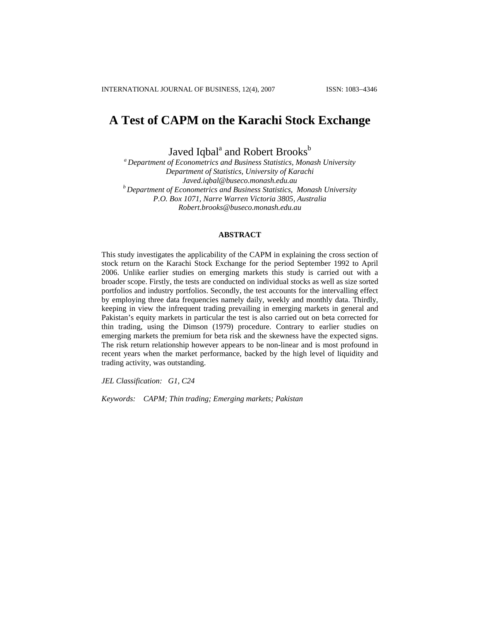# **A Test of CAPM on the Karachi Stock Exchange**

Javed Iqbal<sup>a</sup> and Robert Brooks<sup>b</sup>

*a Department of Econometrics and Business Statistics, Monash University Department of Statistics, University of Karachi Javed.iqbal@buseco.monash.edu.au b Department of Econometrics and Business Statistics, Monash University P.O. Box 1071, Narre Warren Victoria 3805, Australia [Robert.brooks@buseco.monash.edu.au](mailto:Robert.brooks@buseco.monash.edu.au)*

# **ABSTRACT**

This study investigates the applicability of the CAPM in explaining the cross section of stock return on the Karachi Stock Exchange for the period September 1992 to April 2006. Unlike earlier studies on emerging markets this study is carried out with a broader scope. Firstly, the tests are conducted on individual stocks as well as size sorted portfolios and industry portfolios. Secondly, the test accounts for the intervalling effect by employing three data frequencies namely daily, weekly and monthly data. Thirdly, keeping in view the infrequent trading prevailing in emerging markets in general and Pakistan's equity markets in particular the test is also carried out on beta corrected for thin trading, using the Dimson (1979) procedure. Contrary to earlier studies on emerging markets the premium for beta risk and the skewness have the expected signs. The risk return relationship however appears to be non-linear and is most profound in recent years when the market performance, backed by the high level of liquidity and trading activity, was outstanding.

*JEL Classification: G1, C24* 

*Keywords: CAPM; Thin trading; Emerging markets; Pakistan*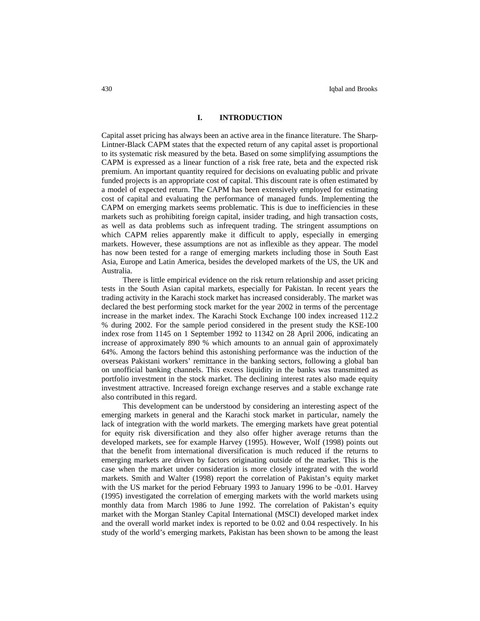### **I. INTRODUCTION**

Capital asset pricing has always been an active area in the finance literature. The Sharp-Lintner-Black CAPM states that the expected return of any capital asset is proportional to its systematic risk measured by the beta. Based on some simplifying assumptions the CAPM is expressed as a linear function of a risk free rate, beta and the expected risk premium. An important quantity required for decisions on evaluating public and private funded projects is an appropriate cost of capital. This discount rate is often estimated by a model of expected return. The CAPM has been extensively employed for estimating cost of capital and evaluating the performance of managed funds. Implementing the CAPM on emerging markets seems problematic. This is due to inefficiencies in these markets such as prohibiting foreign capital, insider trading, and high transaction costs, as well as data problems such as infrequent trading. The stringent assumptions on which CAPM relies apparently make it difficult to apply, especially in emerging markets. However, these assumptions are not as inflexible as they appear. The model has now been tested for a range of emerging markets including those in South East Asia, Europe and Latin America, besides the developed markets of the US, the UK and Australia.

There is little empirical evidence on the risk return relationship and asset pricing tests in the South Asian capital markets, especially for Pakistan. In recent years the trading activity in the Karachi stock market has increased considerably. The market was declared the best performing stock market for the year 2002 in terms of the percentage increase in the market index. The Karachi Stock Exchange 100 index increased 112.2 % during 2002. For the sample period considered in the present study the KSE-100 index rose from 1145 on 1 September 1992 to 11342 on 28 April 2006, indicating an increase of approximately 890 % which amounts to an annual gain of approximately 64%. Among the factors behind this astonishing performance was the induction of the overseas Pakistani workers' remittance in the banking sectors, following a global ban on unofficial banking channels. This excess liquidity in the banks was transmitted as portfolio investment in the stock market. The declining interest rates also made equity investment attractive. Increased foreign exchange reserves and a stable exchange rate also contributed in this regard.

This development can be understood by considering an interesting aspect of the emerging markets in general and the Karachi stock market in particular, namely the lack of integration with the world markets. The emerging markets have great potential for equity risk diversification and they also offer higher average returns than the developed markets, see for example Harvey (1995). However, Wolf (1998) points out that the benefit from international diversification is much reduced if the returns to emerging markets are driven by factors originating outside of the market. This is the case when the market under consideration is more closely integrated with the world markets. Smith and Walter (1998) report the correlation of Pakistan's equity market with the US market for the period February 1993 to January 1996 to be -0.01. Harvey (1995) investigated the correlation of emerging markets with the world markets using monthly data from March 1986 to June 1992. The correlation of Pakistan's equity market with the Morgan Stanley Capital International (MSCI) developed market index and the overall world market index is reported to be 0.02 and 0.04 respectively. In his study of the world's emerging markets, Pakistan has been shown to be among the least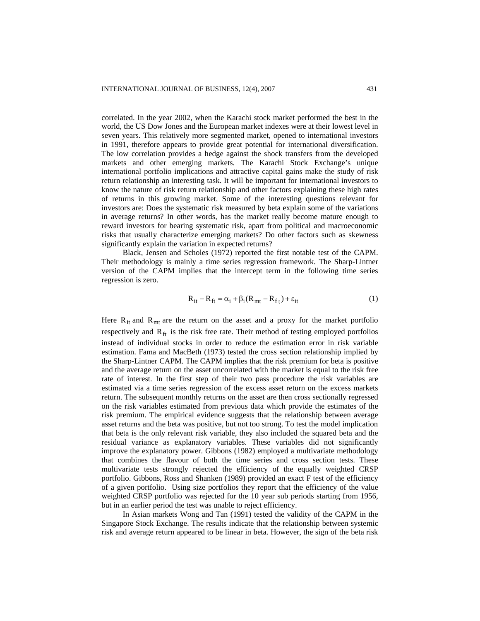correlated. In the year 2002, when the Karachi stock market performed the best in the world, the US Dow Jones and the European market indexes were at their lowest level in seven years. This relatively more segmented market, opened to international investors in 1991, therefore appears to provide great potential for international diversification. The low correlation provides a hedge against the shock transfers from the developed markets and other emerging markets. The Karachi Stock Exchange's unique international portfolio implications and attractive capital gains make the study of risk return relationship an interesting task. It will be important for international investors to know the nature of risk return relationship and other factors explaining these high rates of returns in this growing market. Some of the interesting questions relevant for investors are: Does the systematic risk measured by beta explain some of the variations in average returns? In other words, has the market really become mature enough to reward investors for bearing systematic risk, apart from political and macroeconomic risks that usually characterize emerging markets? Do other factors such as skewness significantly explain the variation in expected returns?

Black, Jensen and Scholes (1972) reported the first notable test of the CAPM. Their methodology is mainly a time series regression framework. The Sharp-Lintner version of the CAPM implies that the intercept term in the following time series regression is zero.

$$
\mathbf{R}_{it} - \mathbf{R}_{ft} = \alpha_i + \beta_i (\mathbf{R}_{mt} - \mathbf{R}_{ft}) + \varepsilon_{it}
$$
 (1)

Here  $R_{it}$  and  $R_{mt}$  are the return on the asset and a proxy for the market portfolio respectively and  $R_{ft}$  is the risk free rate. Their method of testing employed portfolios instead of individual stocks in order to reduce the estimation error in risk variable estimation. Fama and MacBeth (1973) tested the cross section relationship implied by the Sharp-Lintner CAPM. The CAPM implies that the risk premium for beta is positive and the average return on the asset uncorrelated with the market is equal to the risk free rate of interest. In the first step of their two pass procedure the risk variables are estimated via a time series regression of the excess asset return on the excess markets return. The subsequent monthly returns on the asset are then cross sectionally regressed on the risk variables estimated from previous data which provide the estimates of the risk premium. The empirical evidence suggests that the relationship between average asset returns and the beta was positive, but not too strong. To test the model implication that beta is the only relevant risk variable, they also included the squared beta and the residual variance as explanatory variables. These variables did not significantly improve the explanatory power. Gibbons (1982) employed a multivariate methodology that combines the flavour of both the time series and cross section tests. These multivariate tests strongly rejected the efficiency of the equally weighted CRSP portfolio. Gibbons, Ross and Shanken (1989) provided an exact F test of the efficiency of a given portfolio. Using size portfolios they report that the efficiency of the value weighted CRSP portfolio was rejected for the 10 year sub periods starting from 1956, but in an earlier period the test was unable to reject efficiency.

In Asian markets Wong and Tan (1991) tested the validity of the CAPM in the Singapore Stock Exchange. The results indicate that the relationship between systemic risk and average return appeared to be linear in beta. However, the sign of the beta risk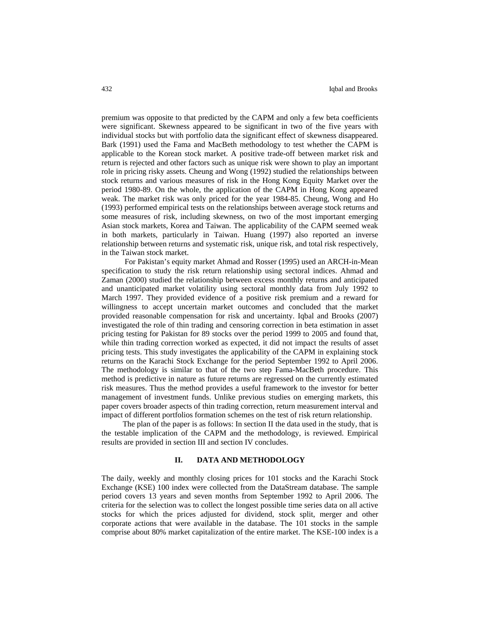premium was opposite to that predicted by the CAPM and only a few beta coefficients were significant. Skewness appeared to be significant in two of the five years with individual stocks but with portfolio data the significant effect of skewness disappeared. Bark (1991) used the Fama and MacBeth methodology to test whether the CAPM is applicable to the Korean stock market. A positive trade-off between market risk and return is rejected and other factors such as unique risk were shown to play an important role in pricing risky assets. Cheung and Wong (1992) studied the relationships between stock returns and various measures of risk in the Hong Kong Equity Market over the period 1980-89. On the whole, the application of the CAPM in Hong Kong appeared weak. The market risk was only priced for the year 1984-85. Cheung, Wong and Ho (1993) performed empirical tests on the relationships between average stock returns and some measures of risk, including skewness, on two of the most important emerging Asian stock markets, Korea and Taiwan. The applicability of the CAPM seemed weak in both markets, particularly in Taiwan. Huang (1997) also reported an inverse relationship between returns and systematic risk, unique risk, and total risk respectively, in the Taiwan stock market.

 For Pakistan's equity market Ahmad and Rosser (1995) used an ARCH-in-Mean specification to study the risk return relationship using sectoral indices. Ahmad and Zaman (2000) studied the relationship between excess monthly returns and anticipated and unanticipated market volatility using sectoral monthly data from July 1992 to March 1997. They provided evidence of a positive risk premium and a reward for willingness to accept uncertain market outcomes and concluded that the market provided reasonable compensation for risk and uncertainty. Iqbal and Brooks (2007) investigated the role of thin trading and censoring correction in beta estimation in asset pricing testing for Pakistan for 89 stocks over the period 1999 to 2005 and found that, while thin trading correction worked as expected, it did not impact the results of asset pricing tests. This study investigates the applicability of the CAPM in explaining stock returns on the Karachi Stock Exchange for the period September 1992 to April 2006. The methodology is similar to that of the two step Fama-MacBeth procedure. This method is predictive in nature as future returns are regressed on the currently estimated risk measures. Thus the method provides a useful framework to the investor for better management of investment funds. Unlike previous studies on emerging markets, this paper covers broader aspects of thin trading correction, return measurement interval and impact of different portfolios formation schemes on the test of risk return relationship.

The plan of the paper is as follows: In section II the data used in the study, that is the testable implication of the CAPM and the methodology, is reviewed. Empirical results are provided in section III and section IV concludes.

## **II. DATA AND METHODOLOGY**

The daily, weekly and monthly closing prices for 101 stocks and the Karachi Stock Exchange (KSE) 100 index were collected from the DataStream database. The sample period covers 13 years and seven months from September 1992 to April 2006. The criteria for the selection was to collect the longest possible time series data on all active stocks for which the prices adjusted for dividend, stock split, merger and other corporate actions that were available in the database. The 101 stocks in the sample comprise about 80% market capitalization of the entire market. The KSE-100 index is a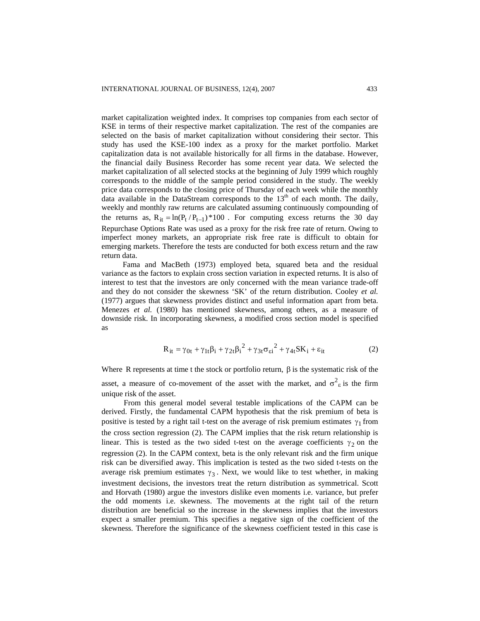market capitalization weighted index. It comprises top companies from each sector of KSE in terms of their respective market capitalization. The rest of the companies are selected on the basis of market capitalization without considering their sector. This study has used the KSE-100 index as a proxy for the market portfolio. Market capitalization data is not available historically for all firms in the database. However, the financial daily Business Recorder has some recent year data. We selected the market capitalization of all selected stocks at the beginning of July 1999 which roughly corresponds to the middle of the sample period considered in the study. The weekly price data corresponds to the closing price of Thursday of each week while the monthly data available in the DataStream corresponds to the  $13<sup>th</sup>$  of each month. The daily, weekly and monthly raw returns are calculated assuming continuously compounding of the returns as,  $R_{it} = \ln(P_t/P_{t-1}) \cdot 100$ . For computing excess returns the 30 day Repurchase Options Rate was used as a proxy for the risk free rate of return. Owing to imperfect money markets, an appropriate risk free rate is difficult to obtain for emerging markets. Therefore the tests are conducted for both excess return and the raw return data.

Fama and MacBeth (1973) employed beta, squared beta and the residual variance as the factors to explain cross section variation in expected returns. It is also of interest to test that the investors are only concerned with the mean variance trade-off and they do not consider the skewness 'SK' of the return distribution. Cooley *et al.* (1977) argues that skewness provides distinct and useful information apart from beta. Menezes *et al.* (1980) has mentioned skewness, among others, as a measure of downside risk. In incorporating skewness, a modified cross section model is specified as

$$
R_{it} = \gamma_{0t} + \gamma_{1t}\beta_i + \gamma_{2t}\beta_i^2 + \gamma_{3t}\sigma_{\varepsilon i}^2 + \gamma_{4t}SK_i + \varepsilon_{it}
$$
 (2)

Where R represents at time t the stock or portfolio return,  $\beta$  is the systematic risk of the asset, a measure of co-movement of the asset with the market, and  $\sigma^2$ <sub>ε</sub> is the firm unique risk of the asset.

From this general model several testable implications of the CAPM can be derived. Firstly, the fundamental CAPM hypothesis that the risk premium of beta is positive is tested by a right tail t-test on the average of risk premium estimates  $\gamma_1$  from the cross section regression (2). The CAPM implies that the risk return relationship is linear. This is tested as the two sided t-test on the average coefficients  $\gamma_2$  on the regression (2). In the CAPM context, beta is the only relevant risk and the firm unique risk can be diversified away. This implication is tested as the two sided t-tests on the average risk premium estimates  $\gamma_3$ . Next, we would like to test whether, in making investment decisions, the investors treat the return distribution as symmetrical. Scott and Horvath (1980) argue the investors dislike even moments i.e. variance, but prefer the odd moments i.e. skewness. The movements at the right tail of the return distribution are beneficial so the increase in the skewness implies that the investors expect a smaller premium. This specifies a negative sign of the coefficient of the skewness. Therefore the significance of the skewness coefficient tested in this case is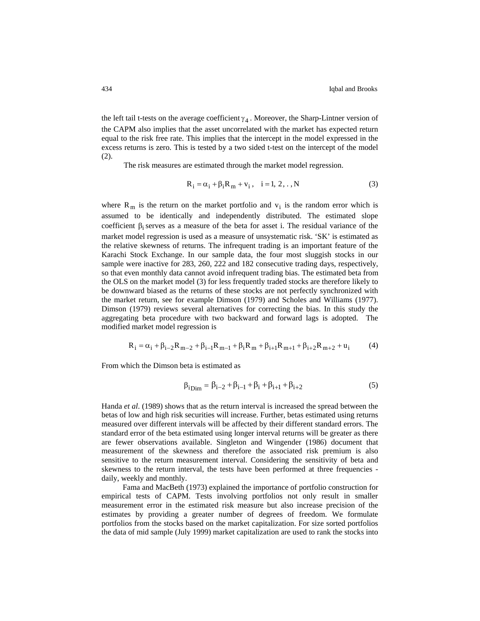the left tail t-tests on the average coefficient  $\gamma_4$ . Moreover, the Sharp-Lintner version of the CAPM also implies that the asset uncorrelated with the market has expected return equal to the risk free rate. This implies that the intercept in the model expressed in the excess returns is zero. This is tested by a two sided t-test on the intercept of the model (2).

The risk measures are estimated through the market model regression.

$$
R_i = \alpha_i + \beta_i R_m + v_i, \quad i = 1, 2, ., N
$$
 (3)

where  $R_m$  is the return on the market portfolio and  $v_i$  is the random error which is assumed to be identically and independently distributed. The estimated slope coefficient  $\beta_i$  serves as a measure of the beta for asset i. The residual variance of the market model regression is used as a measure of unsystematic risk. 'SK' is estimated as the relative skewness of returns. The infrequent trading is an important feature of the Karachi Stock Exchange. In our sample data, the four most sluggish stocks in our sample were inactive for 283, 260, 222 and 182 consecutive trading days, respectively, so that even monthly data cannot avoid infrequent trading bias. The estimated beta from the OLS on the market model (3) for less frequently traded stocks are therefore likely to be downward biased as the returns of these stocks are not perfectly synchronized with the market return, see for example Dimson (1979) and Scholes and Williams (1977). Dimson (1979) reviews several alternatives for correcting the bias. In this study the aggregating beta procedure with two backward and forward lags is adopted. The modified market model regression is

$$
R_{i} = \alpha_{i} + \beta_{i-2}R_{m-2} + \beta_{i-1}R_{m-1} + \beta_{i}R_{m} + \beta_{i+1}R_{m+1} + \beta_{i+2}R_{m+2} + u_{i}
$$
 (4)

From which the Dimson beta is estimated as

$$
\beta_{i\text{Dim}} = \beta_{i-2} + \beta_{i-1} + \beta_i + \beta_{i+1} + \beta_{i+2} \tag{5}
$$

Handa *et al*. (1989) shows that as the return interval is increased the spread between the betas of low and high risk securities will increase. Further, betas estimated using returns measured over different intervals will be affected by their different standard errors. The standard error of the beta estimated using longer interval returns will be greater as there are fewer observations available. Singleton and Wingender (1986) document that measurement of the skewness and therefore the associated risk premium is also sensitive to the return measurement interval. Considering the sensitivity of beta and skewness to the return interval, the tests have been performed at three frequencies daily, weekly and monthly.

Fama and MacBeth (1973) explained the importance of portfolio construction for empirical tests of CAPM. Tests involving portfolios not only result in smaller measurement error in the estimated risk measure but also increase precision of the estimates by providing a greater number of degrees of freedom. We formulate portfolios from the stocks based on the market capitalization. For size sorted portfolios the data of mid sample (July 1999) market capitalization are used to rank the stocks into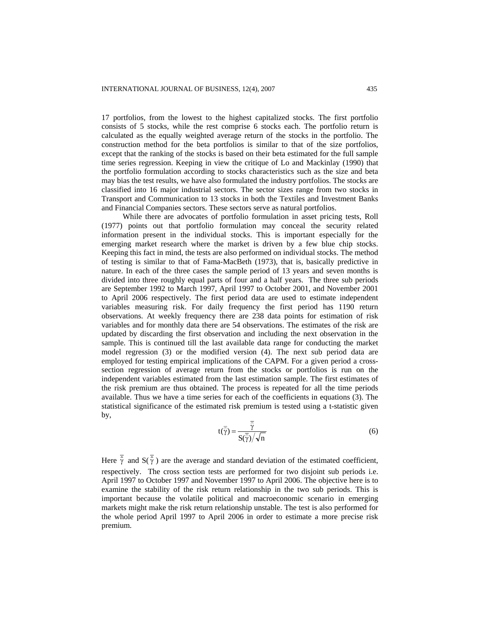17 portfolios, from the lowest to the highest capitalized stocks. The first portfolio consists of 5 stocks, while the rest comprise 6 stocks each. The portfolio return is calculated as the equally weighted average return of the stocks in the portfolio. The construction method for the beta portfolios is similar to that of the size portfolios, except that the ranking of the stocks is based on their beta estimated for the full sample time series regression. Keeping in view the critique of Lo and Mackinlay (1990) that the portfolio formulation according to stocks characteristics such as the size and beta may bias the test results, we have also formulated the industry portfolios. The stocks are classified into 16 major industrial sectors. The sector sizes range from two stocks in Transport and Communication to 13 stocks in both the Textiles and Investment Banks and Financial Companies sectors. These sectors serve as natural portfolios.

While there are advocates of portfolio formulation in asset pricing tests, Roll (1977) points out that portfolio formulation may conceal the security related information present in the individual stocks. This is important especially for the emerging market research where the market is driven by a few blue chip stocks. Keeping this fact in mind, the tests are also performed on individual stocks. The method of testing is similar to that of Fama-MacBeth (1973), that is, basically predictive in nature. In each of the three cases the sample period of 13 years and seven months is divided into three roughly equal parts of four and a half years. The three sub periods are September 1992 to March 1997, April 1997 to October 2001, and November 2001 to April 2006 respectively. The first period data are used to estimate independent variables measuring risk. For daily frequency the first period has 1190 return observations. At weekly frequency there are 238 data points for estimation of risk variables and for monthly data there are 54 observations. The estimates of the risk are updated by discarding the first observation and including the next observation in the sample. This is continued till the last available data range for conducting the market model regression (3) or the modified version (4). The next sub period data are employed for testing empirical implications of the CAPM. For a given period a crosssection regression of average return from the stocks or portfolios is run on the independent variables estimated from the last estimation sample. The first estimates of the risk premium are thus obtained. The process is repeated for all the time periods available. Thus we have a time series for each of the coefficients in equations (3). The statistical significance of the estimated risk premium is tested using a t-statistic given by,

$$
t(\overline{\hat{\gamma}}) = \frac{\overline{\hat{\gamma}}}{S(\overline{\hat{\gamma}})/\sqrt{n}}
$$
 (6)

Here  $\overline{\hat{\gamma}}$  and  $S(\overline{\hat{\gamma}})$  are the average and standard deviation of the estimated coefficient, respectively. The cross section tests are performed for two disjoint sub periods i.e. April 1997 to October 1997 and November 1997 to April 2006. The objective here is to examine the stability of the risk return relationship in the two sub periods. This is important because the volatile political and macroeconomic scenario in emerging markets might make the risk return relationship unstable. The test is also performed for the whole period April 1997 to April 2006 in order to estimate a more precise risk premium.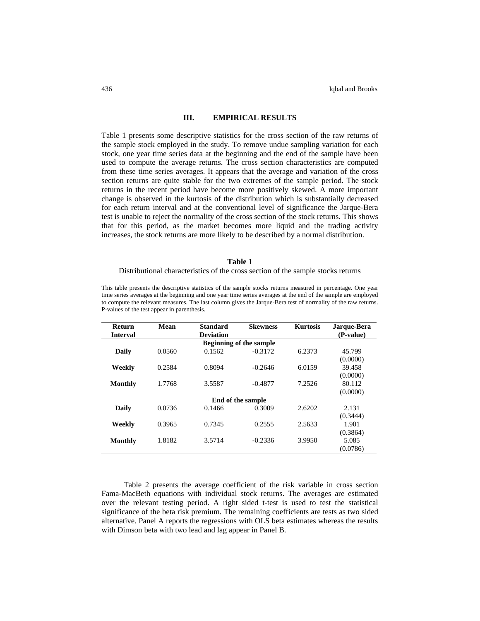## **III. EMPIRICAL RESULTS**

Table 1 presents some descriptive statistics for the cross section of the raw returns of the sample stock employed in the study. To remove undue sampling variation for each stock, one year time series data at the beginning and the end of the sample have been used to compute the average returns. The cross section characteristics are computed from these time series averages. It appears that the average and variation of the cross section returns are quite stable for the two extremes of the sample period. The stock returns in the recent period have become more positively skewed. A more important change is observed in the kurtosis of the distribution which is substantially decreased for each return interval and at the conventional level of significance the Jarque-Bera test is unable to reject the normality of the cross section of the stock returns. This shows that for this period, as the market becomes more liquid and the trading activity increases, the stock returns are more likely to be described by a normal distribution.

#### **Table 1**

#### Distributional characteristics of the cross section of the sample stocks returns

This table presents the descriptive statistics of the sample stocks returns measured in percentage. One year time series averages at the beginning and one year time series averages at the end of the sample are employed to compute the relevant measures. The last column gives the Jarque-Bera test of normality of the raw returns. P-values of the test appear in parenthesis.

| Return          | Mean   | Standard         | <b>Skewness</b>                | <b>Kurtosis</b> | Jarque-Bera |
|-----------------|--------|------------------|--------------------------------|-----------------|-------------|
| <b>Interval</b> |        | <b>Deviation</b> |                                |                 | (P-value)   |
|                 |        |                  | <b>Beginning of the sample</b> |                 |             |
| Daily           | 0.0560 | 0.1562           | $-0.3172$                      | 6.2373          | 45.799      |
|                 |        |                  |                                |                 | (0.0000)    |
| Weekly          | 0.2584 | 0.8094           | $-0.2646$                      | 6.0159          | 39.458      |
|                 |        |                  |                                |                 | (0.0000)    |
| Monthly         | 1.7768 | 3.5587           | $-0.4877$                      | 7.2526          | 80.112      |
|                 |        |                  |                                |                 | (0.0000)    |
|                 |        |                  | End of the sample              |                 |             |
| Daily           | 0.0736 | 0.1466           | 0.3009                         | 2.6202          | 2.131       |
|                 |        |                  |                                |                 | (0.3444)    |
| Weekly          | 0.3965 | 0.7345           | 0.2555                         | 2.5633          | 1.901       |
|                 |        |                  |                                |                 | (0.3864)    |
| Monthly         | 1.8182 | 3.5714           | $-0.2336$                      | 3.9950          | 5.085       |
|                 |        |                  |                                |                 | (0.0786)    |

Table 2 presents the average coefficient of the risk variable in cross section Fama-MacBeth equations with individual stock returns. The averages are estimated over the relevant testing period. A right sided t-test is used to test the statistical significance of the beta risk premium. The remaining coefficients are tests as two sided alternative. Panel A reports the regressions with OLS beta estimates whereas the results with Dimson beta with two lead and lag appear in Panel B.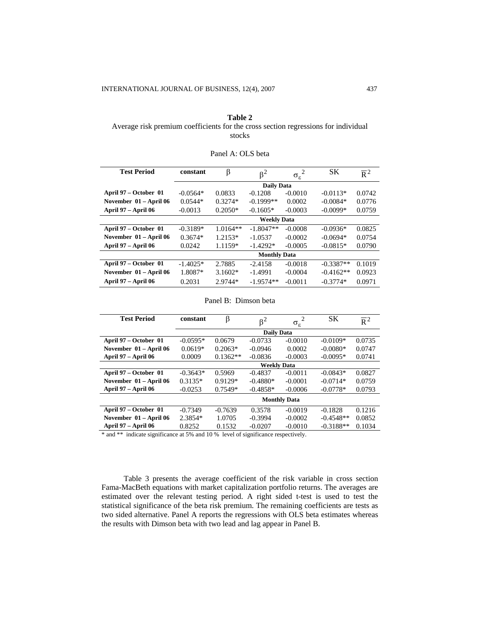# **Table 2**  Average risk premium coefficients for the cross section regressions for individual stocks

| <b>Test Period</b>         | constant   | β          | $\beta^2$           | $\overline{2}$<br>$\sigma_{\epsilon}$ | SK          | $\overline{R}^2$ |
|----------------------------|------------|------------|---------------------|---------------------------------------|-------------|------------------|
|                            |            |            | <b>Daily Data</b>   |                                       |             |                  |
| April 97 – October 01      | $-0.0564*$ | 0.0833     | $-0.1208$           | $-0.0010$                             | $-0.0113*$  | 0.0742           |
| November 01 – April 06     | $0.0544*$  | $0.3274*$  | $-0.1999**$         | 0.0002                                | $-0.0084*$  | 0.0776           |
| April 97 – April 06        | $-0.0013$  | $0.2050*$  | $-0.1605*$          | $-0.0003$                             | $-0.0099*$  | 0.0759           |
|                            |            |            | <b>Weekly Data</b>  |                                       |             |                  |
| April 97 – October 01      | $-0.3189*$ | $1.0164**$ | $-1.8047**$         | $-0.0008$                             | $-0.0936*$  | 0.0825           |
| November 01 - April 06     | $0.3674*$  | $1.2153*$  | $-1.0537$           | $-0.0002$                             | $-0.0694*$  | 0.0754           |
| <b>April 97 – April 06</b> | 0.0242     | 1.1159*    | $-1.4292*$          | $-0.0005$                             | $-0.0815*$  | 0.0790           |
|                            |            |            | <b>Monthly Data</b> |                                       |             |                  |
| April 97 – October 01      | $-1.4025*$ | 2.7885     | $-2.4158$           | $-0.0018$                             | $-0.3387**$ | 0.1019           |
| November 01 – April 06     | 1.8087*    | $3.1602*$  | $-1.4991$           | $-0.0004$                             | $-0.4162**$ | 0.0923           |
| April 97 – April 06        | 0.2031     | 2.9744*    | $-1.9574**$         | $-0.0011$                             | $-0.3774*$  | 0.0971           |

# Panel A: OLS beta

## Panel B: Dimson beta

| <b>Test Period</b>     | constant   | β          | $\beta^2$          | $\overline{2}$      | SК          | $\overline{R}^2$ |
|------------------------|------------|------------|--------------------|---------------------|-------------|------------------|
|                        |            |            |                    | $\sigma_{\rm g}$    |             |                  |
|                        |            |            | <b>Daily Data</b>  |                     |             |                  |
| April 97 – October 01  | $-0.0595*$ | 0.0679     | $-0.0733$          | $-0.0010$           | $-0.0109*$  | 0.0735           |
| November 01 - April 06 | $0.0619*$  | $0.2063*$  | $-0.0946$          | 0.0002              | $-0.0080*$  | 0.0747           |
| April 97 – April 06    | 0.0009     | $0.1362**$ | $-0.0836$          | $-0.0003$           | $-0.0095*$  | 0.0741           |
|                        |            |            | <b>Weekly Data</b> |                     |             |                  |
| April 97 – October 01  | $-0.3643*$ | 0.5969     | $-0.4837$          | $-0.0011$           | $-0.0843*$  | 0.0827           |
| November 01 - April 06 | $0.3135*$  | $0.9129*$  | $-0.4880*$         | $-0.0001$           | $-0.0714*$  | 0.0759           |
| April 97 – April 06    | $-0.0253$  | $0.7549*$  | $-0.4858*$         | $-0.0006$           | $-0.0778*$  | 0.0793           |
|                        |            |            |                    | <b>Monthly Data</b> |             |                  |
| April 97 – October 01  | $-0.7349$  | $-0.7639$  | 0.3578             | $-0.0019$           | $-0.1828$   | 0.1216           |
| November 01 - April 06 | 2.3854*    | 1.0705     | $-0.3994$          | $-0.0002$           | $-0.4548**$ | 0.0852           |
| April 97 – April 06    | 0.8252     | 0.1532     | $-0.0207$          | $-0.0010$           | $-0.3188**$ | 0.1034           |

\* and \*\* indicate significance at 5% and 10 % level of significance respectively.

Table 3 presents the average coefficient of the risk variable in cross section Fama-MacBeth equations with market capitalization portfolio returns. The averages are estimated over the relevant testing period. A right sided t-test is used to test the statistical significance of the beta risk premium. The remaining coefficients are tests as two sided alternative. Panel A reports the regressions with OLS beta estimates whereas the results with Dimson beta with two lead and lag appear in Panel B.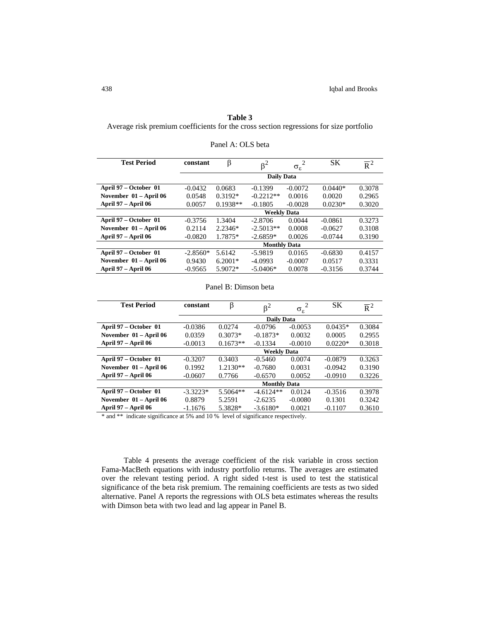# **Table 3**

Average risk premium coefficients for the cross section regressions for size portfolio

| <b>Test Period</b>     | constant   | β          | $\beta^2$           | $\overline{2}$<br>$\sigma_{\rm g}$ | SK        | $\overline{R}^2$ |
|------------------------|------------|------------|---------------------|------------------------------------|-----------|------------------|
|                        |            |            | <b>Daily Data</b>   |                                    |           |                  |
| April 97 – October 01  | $-0.0432$  | 0.0683     | $-0.1399$           | $-0.0072$                          | $0.0440*$ | 0.3078           |
| November 01 - April 06 | 0.0548     | $0.3192*$  | $-0.2212**$         | 0.0016                             | 0.0020    | 0.2965           |
| April 97 – April 06    | 0.0057     | $0.1938**$ | $-0.1805$           | $-0.0028$                          | $0.0230*$ | 0.3020           |
|                        |            |            | <b>Weekly Data</b>  |                                    |           |                  |
| April 97 – October 01  | $-0.3756$  | 1.3404     | $-2.8706$           | 0.0044                             | $-0.0861$ | 0.3273           |
| November 01 - April 06 | 0.2114     | $2.2346*$  | $-2.5013**$         | 0.0008                             | $-0.0627$ | 0.3108           |
| April 97 – April 06    | $-0.0820$  | 1.7875*    | $-2.6859*$          | 0.0026                             | $-0.0744$ | 0.3190           |
|                        |            |            | <b>Monthly Data</b> |                                    |           |                  |
| April 97 – October 01  | $-2.8560*$ | 5.6142     | $-5.9819$           | 0.0165                             | $-0.6830$ | 0.4157           |
| November 01 – April 06 | 0.9430     | $6.2001*$  | $-4.0993$           | $-0.0007$                          | 0.0517    | 0.3331           |
| April 97 – April 06    | $-0.9565$  | $5.9072*$  | $-5.0406*$          | 0.0078                             | $-0.3156$ | 0.3744           |

| Panel A: OLS beta |  |  |
|-------------------|--|--|
|-------------------|--|--|

| <b>Test Period</b>     | constant            | β          | $\beta^2$          | $\sigma_{\rm g}$ | <b>SK</b> | $\overline{R}^2$ |  |
|------------------------|---------------------|------------|--------------------|------------------|-----------|------------------|--|
|                        |                     |            | <b>Daily Data</b>  |                  |           |                  |  |
| April 97 – October 01  | $-0.0386$           | 0.0274     | $-0.0796$          | $-0.0053$        | $0.0435*$ | 0.3084           |  |
| November 01 - April 06 | 0.0359              | $0.3073*$  | $-0.1873*$         | 0.0032           | 0.0005    | 0.2955           |  |
| April 97 – April 06    | $-0.0013$           | $0.1673**$ | $-0.1334$          | $-0.0010$        | $0.0220*$ | 0.3018           |  |
|                        |                     |            | <b>Weekly Data</b> |                  |           |                  |  |
| April 97 – October 01  | $-0.3207$           | 0.3403     | $-0.5460$          | 0.0074           | $-0.0879$ | 0.3263           |  |
| November 01 - April 06 | 0.1992              | $1.2130**$ | $-0.7680$          | 0.0031           | $-0.0942$ | 0.3190           |  |
| April 97 – April 06    | $-0.0607$           | 0.7766     | $-0.6570$          | 0.0052           | $-0.0910$ | 0.3226           |  |
|                        | <b>Monthly Data</b> |            |                    |                  |           |                  |  |
| April 97 – October 01  | $-3.3223*$          | $5.5064**$ | $-4.6124**$        | 0.0124           | $-0.3516$ | 0.3978           |  |
| November 01 - April 06 | 0.8879              | 5.2591     | $-2.6235$          | $-0.0080$        | 0.1301    | 0.3242           |  |
| April 97 – April 06    | $-1.1676$           | 5.3828*    | $-3.6180*$         | 0.0021           | $-0.1107$ | 0.3610           |  |

\* and \*\* indicate significance at 5% and 10 % level of significance respectively.

Table 4 presents the average coefficient of the risk variable in cross section Fama-MacBeth equations with industry portfolio returns. The averages are estimated over the relevant testing period. A right sided t-test is used to test the statistical significance of the beta risk premium. The remaining coefficients are tests as two sided alternative. Panel A reports the regressions with OLS beta estimates whereas the results with Dimson beta with two lead and lag appear in Panel B.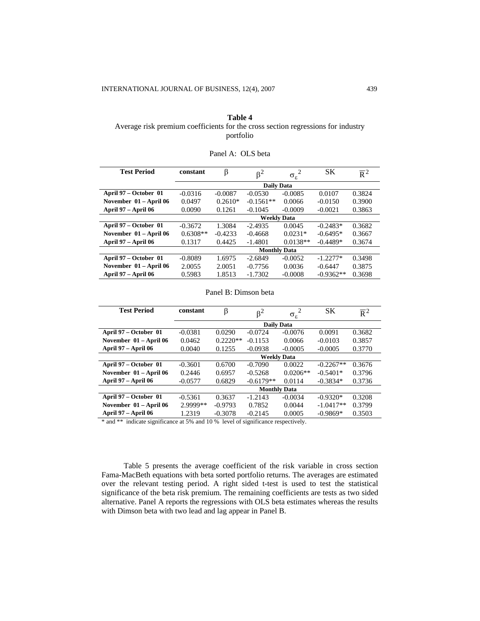# **Table 4**  Average risk premium coefficients for the cross section regressions for industry portfolio

| <b>Test Period</b>     | constant   | β         | $\beta^2$           | $\overline{2}$<br>$\sigma_{\varepsilon}$ | <b>SK</b>   | $\overline{R}^2$ |
|------------------------|------------|-----------|---------------------|------------------------------------------|-------------|------------------|
|                        |            |           | <b>Daily Data</b>   |                                          |             |                  |
| April 97 – October 01  | $-0.0316$  | $-0.0087$ | $-0.0530$           | $-0.0085$                                | 0.0107      | 0.3824           |
| November 01 – April 06 | 0.0497     | $0.2610*$ | $-0.1561**$         | 0.0066                                   | $-0.0150$   | 0.3900           |
| April 97 – April 06    | 0.0090     | 0.1261    | $-0.1045$           | $-0.0009$                                | $-0.0021$   | 0.3863           |
|                        |            |           | <b>Weekly Data</b>  |                                          |             |                  |
| April 97 – October 01  | $-0.3672$  | 1.3084    | $-2.4935$           | 0.0045                                   | $-0.2483*$  | 0.3682           |
| November 01 – April 06 | $0.6308**$ | $-0.4233$ | $-0.4668$           | $0.0231*$                                | $-0.6495*$  | 0.3667           |
| April 97 – April 06    | 0.1317     | 0.4425    | $-1.4801$           | $0.0138**$                               | $-0.4489*$  | 0.3674           |
|                        |            |           | <b>Monthly Data</b> |                                          |             |                  |
| April 97 – October 01  | $-0.8089$  | 1.6975    | $-2.6849$           | $-0.0052$                                | $-1.2277*$  | 0.3498           |
| November 01 – April 06 | 2.0055     | 2.0051    | $-0.7756$           | 0.0036                                   | $-0.6447$   | 0.3875           |
| April 97 – April 06    | 0.5983     | 1.8513    | $-1.7302$           | $-0.0008$                                | $-0.9362**$ | 0.3698           |

# Panel A: OLS beta

### Panel B: Dimson beta

| <b>Test Period</b>     | constant           | β          | $\beta^2$           | $\sigma_{\rm g}$ | <b>SK</b>   | $\overline{R}^2$ |  |
|------------------------|--------------------|------------|---------------------|------------------|-------------|------------------|--|
|                        |                    |            | <b>Daily Data</b>   |                  |             |                  |  |
| April 97 – October 01  | $-0.0381$          | 0.0290     | $-0.0724$           | $-0.0076$        | 0.0091      | 0.3682           |  |
| November 01 - April 06 | 0.0462             | $0.2220**$ | $-0.1153$           | 0.0066           | $-0.0103$   | 0.3857           |  |
| April 97 – April 06    | 0.0040             | 0.1255     | $-0.0938$           | $-0.0005$        | $-0.0005$   | 0.3770           |  |
|                        | <b>Weekly Data</b> |            |                     |                  |             |                  |  |
| April 97 – October 01  | $-0.3601$          | 0.6700     | $-0.7090$           | 0.0022           | $-0.2267**$ | 0.3676           |  |
| November 01 - April 06 | 0.2446             | 0.6957     | $-0.5268$           | $0.0206**$       | $-0.5401*$  | 0.3796           |  |
| April 97 – April 06    | $-0.0577$          | 0.6829     | $-0.6179**$         | 0.0114           | $-0.3834*$  | 0.3736           |  |
|                        |                    |            | <b>Monthly Data</b> |                  |             |                  |  |
| April 97 – October 01  | $-0.5361$          | 0.3637     | $-1.2143$           | $-0.0034$        | $-0.9320*$  | 0.3208           |  |
| November 01 - April 06 | 2.9999**           | $-0.9793$  | 0.7852              | 0.0044           | $-1.0417**$ | 0.3799           |  |
| April 97 – April 06    | 1.2319             | $-0.3078$  | $-0.2145$           | 0.0005           | $-0.9869*$  | 0.3503           |  |

and \*\* indicate significance at 5% and 10 % level of significance respectively.

Table 5 presents the average coefficient of the risk variable in cross section Fama-MacBeth equations with beta sorted portfolio returns. The averages are estimated over the relevant testing period. A right sided t-test is used to test the statistical significance of the beta risk premium. The remaining coefficients are tests as two sided alternative. Panel A reports the regressions with OLS beta estimates whereas the results with Dimson beta with two lead and lag appear in Panel B.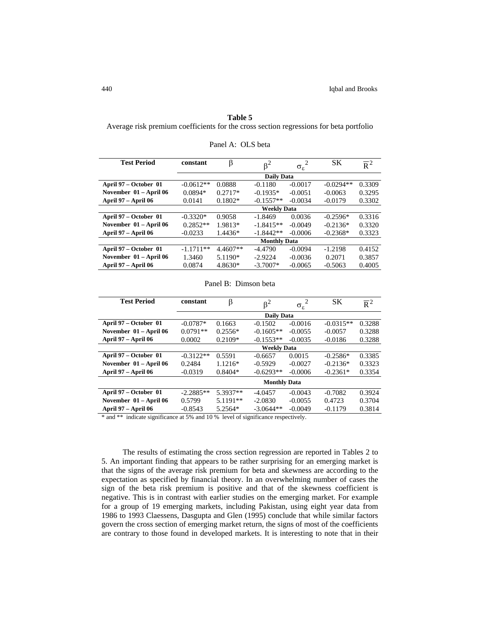## **Table 5**

Average risk premium coefficients for the cross section regressions for beta portfolio

| <b>Test Period</b>     | constant            | β          | $\beta^2$          | $\overline{2}$<br>$\sigma_{\varepsilon}$ | <b>SK</b>   | $\overline{R}^2$ |
|------------------------|---------------------|------------|--------------------|------------------------------------------|-------------|------------------|
|                        |                     |            | <b>Daily Data</b>  |                                          |             |                  |
| April 97 – October 01  | $-0.0612**$         | 0.0888     | $-0.1180$          | $-0.0017$                                | $-0.0294**$ | 0.3309           |
| November 01 - April 06 | $0.0894*$           | $0.2717*$  | $-0.1935*$         | $-0.0051$                                | $-0.0063$   | 0.3295           |
| April 97 – April 06    | 0.0141              | $0.1802*$  | $-0.1557**$        | $-0.0034$                                | $-0.0179$   | 0.3302           |
|                        |                     |            | <b>Weekly Data</b> |                                          |             |                  |
| April 97 – October 01  | $-0.3320*$          | 0.9058     | $-1.8469$          | 0.0036                                   | $-0.2596*$  | 0.3316           |
| November 01 - April 06 | $0.2852**$          | 1.9813*    | $-1.8415**$        | $-0.0049$                                | $-0.2136*$  | 0.3320           |
| April 97 – April 06    | $-0.0233$           | 1.4436*    | $-1.8442**$        | $-0.0006$                                | $-0.2368*$  | 0.3323           |
|                        | <b>Monthly Data</b> |            |                    |                                          |             |                  |
| April 97 – October 01  | $-1.1711**$         | $4.4607**$ | $-4.4790$          | $-0.0094$                                | $-1.2198$   | 0.4152           |
| November 01 - April 06 | 1.3460              | 5.1190*    | $-2.9224$          | $-0.0036$                                | 0.2071      | 0.3857           |
| April 97 – April 06    | 0.0874              | 4.8630*    | $-3.7007*$         | $-0.0065$                                | $-0.5063$   | 0.4005           |

| Panel A: OLS beta |  |
|-------------------|--|
|-------------------|--|

| <b>Test Period</b>     | constant            | ß          | $\beta^2$          | $\sigma_{\varepsilon}$ | <b>SK</b>   | $\overline{R}^2$ |
|------------------------|---------------------|------------|--------------------|------------------------|-------------|------------------|
|                        |                     |            | <b>Daily Data</b>  |                        |             |                  |
| April 97 – October 01  | $-0.0787*$          | 0.1663     | $-0.1502$          | $-0.0016$              | $-0.0315**$ | 0.3288           |
| November 01 - April 06 | $0.0791**$          | $0.2556*$  | $-0.1605**$        | $-0.0055$              | $-0.0057$   | 0.3288           |
| April 97 – April 06    | 0.0002              | $0.2109*$  | $-0.1553**$        | $-0.0035$              | $-0.0186$   | 0.3288           |
|                        |                     |            | <b>Weekly Data</b> |                        |             |                  |
| April 97 – October 01  | $-0.3122**$         | 0.5591     | $-0.6657$          | 0.0015                 | $-0.2586*$  | 0.3385           |
| November 01 - April 06 | 0.2484              | $1.1216*$  | $-0.5929$          | $-0.0027$              | $-0.2136*$  | 0.3323           |
| April 97 – April 06    | $-0.0319$           | $0.8404*$  | $-0.6293**$        | $-0.0006$              | $-0.2361*$  | 0.3354           |
|                        | <b>Monthly Data</b> |            |                    |                        |             |                  |
| April 97 – October 01  | $-2.2885**$         | 5.3937**   | $-4.0457$          | $-0.0043$              | $-0.7082$   | 0.3924           |
| November 01 - April 06 | 0.5799              | $5.1191**$ | $-2.0830$          | $-0.0055$              | 0.4723      | 0.3704           |
| April 97 – April 06    | $-0.8543$           | 5.2564*    | $-3.0644**$        | $-0.0049$              | $-0.1179$   | 0.3814           |

Panel B: Dimson beta

\* and \*\* indicate significance at 5% and 10 % level of significance respectively.

The results of estimating the cross section regression are reported in Tables 2 to 5. An important finding that appears to be rather surprising for an emerging market is that the signs of the average risk premium for beta and skewness are according to the expectation as specified by financial theory. In an overwhelming number of cases the sign of the beta risk premium is positive and that of the skewness coefficient is negative. This is in contrast with earlier studies on the emerging market. For example for a group of 19 emerging markets, including Pakistan, using eight year data from 1986 to 1993 Claessens, Dasgupta and Glen (1995) conclude that while similar factors govern the cross section of emerging market return, the signs of most of the coefficients are contrary to those found in developed markets. It is interesting to note that in their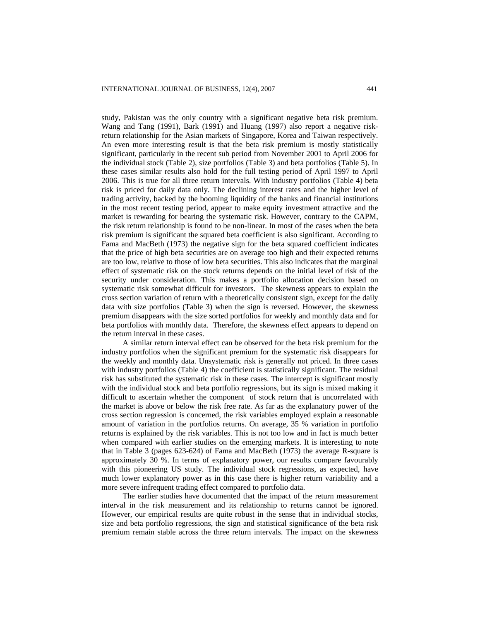study, Pakistan was the only country with a significant negative beta risk premium. Wang and Tang (1991), Bark (1991) and Huang (1997) also report a negative riskreturn relationship for the Asian markets of Singapore, Korea and Taiwan respectively. An even more interesting result is that the beta risk premium is mostly statistically significant, particularly in the recent sub period from November 2001 to April 2006 for the individual stock (Table 2), size portfolios (Table 3) and beta portfolios (Table 5). In these cases similar results also hold for the full testing period of April 1997 to April 2006. This is true for all three return intervals. With industry portfolios (Table 4) beta risk is priced for daily data only. The declining interest rates and the higher level of trading activity, backed by the booming liquidity of the banks and financial institutions in the most recent testing period, appear to make equity investment attractive and the market is rewarding for bearing the systematic risk. However, contrary to the CAPM, the risk return relationship is found to be non-linear. In most of the cases when the beta risk premium is significant the squared beta coefficient is also significant. According to Fama and MacBeth (1973) the negative sign for the beta squared coefficient indicates that the price of high beta securities are on average too high and their expected returns are too low, relative to those of low beta securities. This also indicates that the marginal effect of systematic risk on the stock returns depends on the initial level of risk of the security under consideration. This makes a portfolio allocation decision based on systematic risk somewhat difficult for investors. The skewness appears to explain the cross section variation of return with a theoretically consistent sign, except for the daily data with size portfolios (Table 3) when the sign is reversed. However, the skewness premium disappears with the size sorted portfolios for weekly and monthly data and for beta portfolios with monthly data. Therefore, the skewness effect appears to depend on the return interval in these cases.

A similar return interval effect can be observed for the beta risk premium for the industry portfolios when the significant premium for the systematic risk disappears for the weekly and monthly data. Unsystematic risk is generally not priced. In three cases with industry portfolios (Table 4) the coefficient is statistically significant. The residual risk has substituted the systematic risk in these cases. The intercept is significant mostly with the individual stock and beta portfolio regressions, but its sign is mixed making it difficult to ascertain whether the component of stock return that is uncorrelated with the market is above or below the risk free rate. As far as the explanatory power of the cross section regression is concerned, the risk variables employed explain a reasonable amount of variation in the portfolios returns. On average, 35 % variation in portfolio returns is explained by the risk variables. This is not too low and in fact is much better when compared with earlier studies on the emerging markets. It is interesting to note that in Table 3 (pages 623-624) of Fama and MacBeth (1973) the average R-square is approximately 30 %. In terms of explanatory power, our results compare favourably with this pioneering US study. The individual stock regressions, as expected, have much lower explanatory power as in this case there is higher return variability and a more severe infrequent trading effect compared to portfolio data.

The earlier studies have documented that the impact of the return measurement interval in the risk measurement and its relationship to returns cannot be ignored. However, our empirical results are quite robust in the sense that in individual stocks, size and beta portfolio regressions, the sign and statistical significance of the beta risk premium remain stable across the three return intervals. The impact on the skewness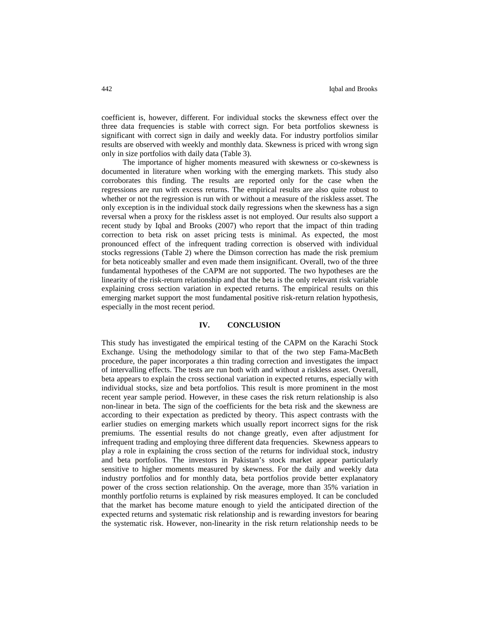coefficient is, however, different. For individual stocks the skewness effect over the three data frequencies is stable with correct sign. For beta portfolios skewness is significant with correct sign in daily and weekly data. For industry portfolios similar results are observed with weekly and monthly data. Skewness is priced with wrong sign only in size portfolios with daily data (Table 3).

The importance of higher moments measured with skewness or co-skewness is documented in literature when working with the emerging markets. This study also corroborates this finding. The results are reported only for the case when the regressions are run with excess returns. The empirical results are also quite robust to whether or not the regression is run with or without a measure of the riskless asset. The only exception is in the individual stock daily regressions when the skewness has a sign reversal when a proxy for the riskless asset is not employed. Our results also support a recent study by Iqbal and Brooks (2007) who report that the impact of thin trading correction to beta risk on asset pricing tests is minimal. As expected, the most pronounced effect of the infrequent trading correction is observed with individual stocks regressions (Table 2) where the Dimson correction has made the risk premium for beta noticeably smaller and even made them insignificant. Overall, two of the three fundamental hypotheses of the CAPM are not supported. The two hypotheses are the linearity of the risk-return relationship and that the beta is the only relevant risk variable explaining cross section variation in expected returns. The empirical results on this emerging market support the most fundamental positive risk-return relation hypothesis, especially in the most recent period.

## **IV. CONCLUSION**

This study has investigated the empirical testing of the CAPM on the Karachi Stock Exchange. Using the methodology similar to that of the two step Fama-MacBeth procedure, the paper incorporates a thin trading correction and investigates the impact of intervalling effects. The tests are run both with and without a riskless asset. Overall, beta appears to explain the cross sectional variation in expected returns, especially with individual stocks, size and beta portfolios. This result is more prominent in the most recent year sample period. However, in these cases the risk return relationship is also non-linear in beta. The sign of the coefficients for the beta risk and the skewness are according to their expectation as predicted by theory. This aspect contrasts with the earlier studies on emerging markets which usually report incorrect signs for the risk premiums. The essential results do not change greatly, even after adjustment for infrequent trading and employing three different data frequencies. Skewness appears to play a role in explaining the cross section of the returns for individual stock, industry and beta portfolios. The investors in Pakistan's stock market appear particularly sensitive to higher moments measured by skewness. For the daily and weekly data industry portfolios and for monthly data, beta portfolios provide better explanatory power of the cross section relationship. On the average, more than 35% variation in monthly portfolio returns is explained by risk measures employed. It can be concluded that the market has become mature enough to yield the anticipated direction of the expected returns and systematic risk relationship and is rewarding investors for bearing the systematic risk. However, non-linearity in the risk return relationship needs to be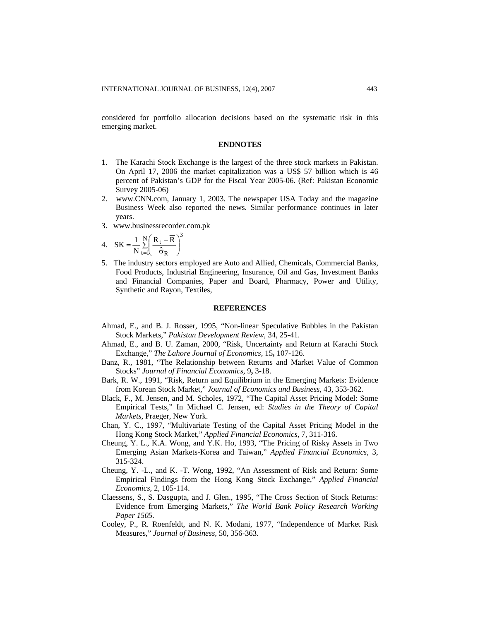considered for portfolio allocation decisions based on the systematic risk in this emerging market.

#### **ENDNOTES**

- 1. The Karachi Stock Exchange is the largest of the three stock markets in Pakistan. On April 17, 2006 the market capitalization was a US\$ 57 billion which is 46 percent of Pakistan's GDP for the Fiscal Year 2005-06. (Ref: Pakistan Economic Survey 2005-06)
- 2. [www.CNN.com](http://www.cnn.com/), January 1, 2003. The newspaper USA Today and the magazine Business Week also reported the news. Similar performance continues in later years.
- 3. www.businessrecorder.com.pk

4. 
$$
SK = \frac{1}{N} \sum_{t=1}^{N} \left( \frac{R_t - \overline{R}}{\hat{\sigma}_R} \right)^3
$$

5. The industry sectors employed are Auto and Allied, Chemicals, Commercial Banks, Food Products, Industrial Engineering, Insurance, Oil and Gas, Investment Banks and Financial Companies, Paper and Board, Pharmacy, Power and Utility, Synthetic and Rayon, Textiles,

#### **REFERENCES**

- Ahmad, E., and B. J. Rosser, 1995, "Non-linear Speculative Bubbles in the Pakistan Stock Markets," *Pakistan Development Review,* 34, 25-41.
- Ahmad, E., and B. U. Zaman, 2000, "Risk, Uncertainty and Return at Karachi Stock Exchange," *The Lahore Journal of Economics,* 15**,** 107-126.
- Banz, R., 1981, "The Relationship between Returns and Market Value of Common Stocks" *Journal of Financial Economics,* 9**,** 3-18.
- Bark, R. W., 1991, "Risk, Return and Equilibrium in the Emerging Markets: Evidence from Korean Stock Market," *Journal of Economics and Business,* 43, 353-362.
- Black, F., M. Jensen, and M. Scholes, 1972, "The Capital Asset Pricing Model: Some Empirical Tests," In Michael C. Jensen, ed: *Studies in the Theory of Capital Markets*, Praeger, New York.
- Chan, Y. C., 1997, "Multivariate Testing of the Capital Asset Pricing Model in the Hong Kong Stock Market," *Applied Financial Economics,* 7, 311-316.
- Cheung, Y. L., K.A. Wong, and Y.K. Ho, 1993, "The Pricing of Risky Assets in Two Emerging Asian Markets-Korea and Taiwan," *Applied Financial Economics,* 3, 315-324.
- Cheung, Y. -L., and K. -T. Wong, 1992, "An Assessment of Risk and Return: Some Empirical Findings from the Hong Kong Stock Exchange," *Applied Financial Economics,* 2, 105-114.
- Claessens, S., S. Dasgupta, and J. Glen., 1995, "The Cross Section of Stock Returns: Evidence from Emerging Markets," *The World Bank Policy Research Working Paper 1505.*
- Cooley, P., R. Roenfeldt, and N. K. Modani, 1977, "Independence of Market Risk Measures," *Journal of Business,* 50, 356-363.